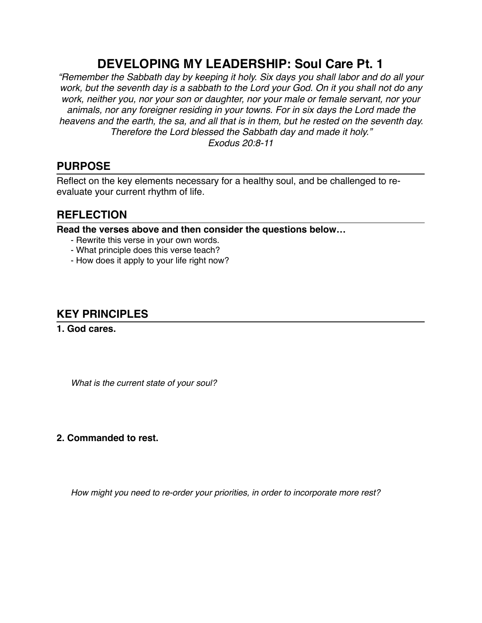# **DEVELOPING MY LEADERSHIP: Soul Care Pt. 1**

*"Remember the Sabbath day by keeping it holy. Six days you shall labor and do all your work, but the seventh day is a sabbath to the Lord your God. On it you shall not do any work, neither you, nor your son or daughter, nor your male or female servant, nor your animals, nor any foreigner residing in your towns. For in six days the Lord made the heavens and the earth, the sa, and all that is in them, but he rested on the seventh day. Therefore the Lord blessed the Sabbath day and made it holy." Exodus 20:8-11*

### **PURPOSE**

Reflect on the key elements necessary for a healthy soul, and be challenged to reevaluate your current rhythm of life.

## **REFLECTION**

**Read the verses above and then consider the questions below…**

- Rewrite this verse in your own words.
- What principle does this verse teach?
- How does it apply to your life right now?

# **KEY PRINCIPLES**

**1. God cares.**

*What is the current state of your soul?*

### **2. Commanded to rest.**

*How might you need to re-order your priorities, in order to incorporate more rest?*